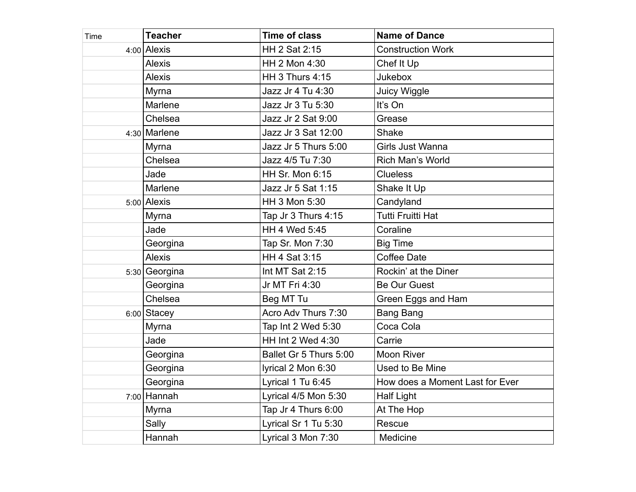| Time | <b>Teacher</b> | <b>Time of class</b>   | <b>Name of Dance</b>            |
|------|----------------|------------------------|---------------------------------|
|      | 4:00 Alexis    | HH 2 Sat 2:15          | <b>Construction Work</b>        |
|      | <b>Alexis</b>  | HH 2 Mon 4:30          | Chef It Up                      |
|      | <b>Alexis</b>  | <b>HH 3 Thurs 4:15</b> | <b>Jukebox</b>                  |
|      | Myrna          | Jazz Jr 4 Tu 4:30      | Juicy Wiggle                    |
|      | Marlene        | Jazz Jr 3 Tu 5:30      | It's On                         |
|      | Chelsea        | Jazz Jr 2 Sat 9:00     | Grease                          |
|      | 4:30 Marlene   | Jazz Jr 3 Sat 12:00    | <b>Shake</b>                    |
|      | Myrna          | Jazz Jr 5 Thurs 5:00   | Girls Just Wanna                |
|      | Chelsea        | Jazz 4/5 Tu 7:30       | Rich Man's World                |
|      | Jade           | HH Sr. Mon 6:15        | <b>Clueless</b>                 |
|      | Marlene        | Jazz Jr 5 Sat 1:15     | Shake It Up                     |
|      | $5:00$ Alexis  | HH 3 Mon 5:30          | Candyland                       |
|      | Myrna          | Tap Jr 3 Thurs 4:15    | <b>Tutti Fruitti Hat</b>        |
|      | Jade           | HH 4 Wed 5:45          | Coraline                        |
|      | Georgina       | Tap Sr. Mon 7:30       | <b>Big Time</b>                 |
|      | <b>Alexis</b>  | HH 4 Sat 3:15          | <b>Coffee Date</b>              |
|      | 5:30 Georgina  | Int MT Sat 2:15        | Rockin' at the Diner            |
|      | Georgina       | Jr MT Fri 4:30         | <b>Be Our Guest</b>             |
|      | Chelsea        | Beg MT Tu              | Green Eggs and Ham              |
|      | $6:00$ Stacey  | Acro Adv Thurs 7:30    | <b>Bang Bang</b>                |
|      | Myrna          | Tap Int 2 Wed 5:30     | Coca Cola                       |
|      | Jade           | HH Int 2 Wed 4:30      | Carrie                          |
|      | Georgina       | Ballet Gr 5 Thurs 5:00 | <b>Moon River</b>               |
|      | Georgina       | lyrical 2 Mon 6:30     | Used to Be Mine                 |
|      | Georgina       | Lyrical 1 Tu 6:45      | How does a Moment Last for Ever |
|      | $7:00$ Hannah  | Lyrical 4/5 Mon 5:30   | <b>Half Light</b>               |
|      | Myrna          | Tap Jr 4 Thurs 6:00    | At The Hop                      |
|      | Sally          | Lyrical Sr 1 Tu 5:30   | Rescue                          |
|      | Hannah         | Lyrical 3 Mon 7:30     | Medicine                        |